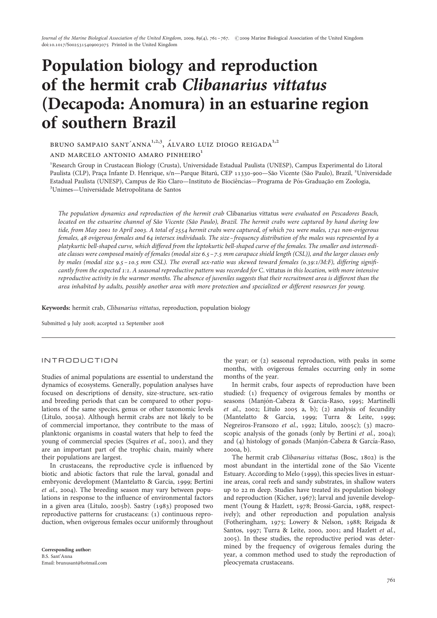# Population biology and reproduction of the hermit crab Clibanarius vittatus (Decapoda: Anomura) in an estuarine region of southern Brazil

BRUNO SAMPAIO SANT'ANNA $^{1,2,3}$ , ÁLVARO LUIZ DIOGO REIGADA $^{1,2}$ 

and MARCELO ANTONIO AMARO PINHEIRO<sup>1</sup>

<sup>1</sup>Research Group in Crustacean Biology (Crusta), Universidade Estadual Paulista (UNESP), Campus Experimental do Litoral Paulista (CLP), Praça Infante D. Henrique, s/n—Parque Bitarú, CEP 11330-900—São Vicente (São Paulo), Brazil, <sup>2</sup>Universidade Estadual Paulista (UNESP), Campus de Rio Claro—Instituto de Biociências—Programa de Pós-Graduação em Zoologia, Unimes—Universidade Metropolitana de Santos

The population dynamics and reproduction of the hermit crab Clibanarius vittatus were evaluated on Pescadores Beach, located on the estuarine channel of São Vicente (São Paulo), Brazil. The hermit crabs were captured by hand during low tide, from May 2001 to April 2003. A total of 2554 hermit crabs were captured, of which 701 were males, 1741 non-ovigerous females, 48 ovigerous females and 64 intersex individuals. The size–frequency distribution of the males was represented by a platykurtic bell-shaped curve, which differed from the leptokurtic bell-shaped curve of the females. The smaller and intermediate classes were composed mainly of females (modal size 6.5 –7.5 mm carapace shield length (CSL)), and the larger classes only by males (modal size 9.5 –10.5 mm CSL). The overall sex-ratio was skewed toward females (0.39:1/M:F), differing significantly from the expected 1:1. A seasonal reproductive pattern was recorded for C. vittatus in this location, with more intensive reproductive activity in the warmer months. The absence of juveniles suggests that their recruitment area is different than the area inhabited by adults, possibly another area with more protection and specialized or different resources for young.

Keywords: hermit crab, Clibanarius vittatus, reproduction, population biology

Submitted 9 July 2008; accepted 12 September 2008

## INTRODUCTION

Studies of animal populations are essential to understand the dynamics of ecosystems. Generally, population analyses have focused on descriptions of density, size-structure, sex-ratio and breeding periods that can be compared to other populations of the same species, genus or other taxonomic levels (Litulo, 2005a). Although hermit crabs are not likely to be of commercial importance, they contribute to the mass of planktonic organisms in coastal waters that help to feed the young of commercial species (Squires et al., 2001), and they are an important part of the trophic chain, mainly where their populations are largest.

In crustaceans, the reproductive cycle is influenced by biotic and abiotic factors that rule the larval, gonadal and embryonic development (Mantelatto & Garcia, 1999; Bertini et al., 2004). The breeding season may vary between populations in response to the influence of environmental factors in a given area (Litulo, 2005b). Sastry (1983) proposed two reproductive patterns for crustaceans: (1) continuous reproduction, when ovigerous females occur uniformly throughout the year; or (2) seasonal reproduction, with peaks in some months, with ovigerous females occurring only in some months of the year.

In hermit crabs, four aspects of reproduction have been studied: (1) frequency of ovigerous females by months or seasons (Manjón-Cabeza & Garcia-Raso, 1995; Martinelli et al., 2002; Litulo 2005 a, b); (2) analysis of fecundity (Mantelatto & Garcia, 1999; Turra & Leite, 1999; Negreiros-Fransozo et al., 1992; Litulo, 2005c); (3) macroscopic analysis of the gonads (only by Bertini et al., 2004); and (4) histology of gonads (Manjón-Cabeza & García-Raso, 2000a, b).

The hermit crab Clibanarius vittatus (Bosc, 1802) is the most abundant in the intertidal zone of the São Vicente Estuary. According to Melo (1999), this species lives in estuarine areas, coral reefs and sandy substrates, in shallow waters up to 22 m deep. Studies have treated its population biology and reproduction (Kicher, 1967); larval and juvenile development (Young & Hazlett, 1978; Brossi-Garcia, 1988, respectively); and other reproduction and population analysis (Fotheringham, 1975; Lowery & Nelson, 1988; Reigada & Santos, 1997; Turra & Leite, 2000, 2001; and Hazlett et al., 2005). In these studies, the reproductive period was determined by the frequency of ovigerous females during the year, a common method used to study the reproduction of pleocyemata crustaceans.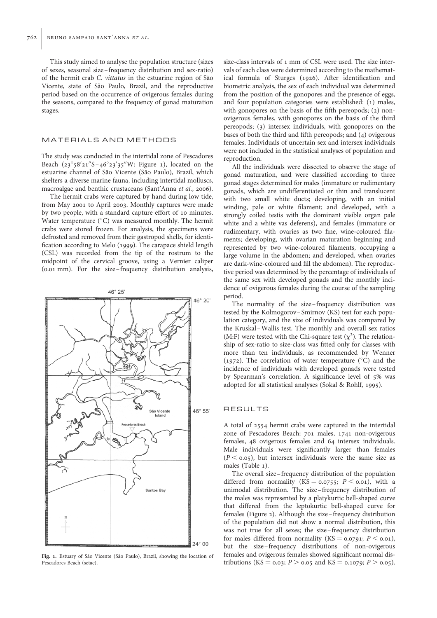This study aimed to analyse the population structure (sizes of sexes, seasonal size –frequency distribution and sex-ratio) of the hermit crab C. vittatus in the estuarine region of São Vicente, state of São Paulo, Brazil, and the reproductive period based on the occurrence of ovigerous females during the seasons, compared to the frequency of gonad maturation stages.

#### MATERIALS AND METHODS

The study was conducted in the intertidal zone of Pescadores Beach  $(23^\circ 58' 21'' S - 46^\circ 23' 35'' W$ : Figure 1), located on the estuarine channel of São Vicente (São Paulo), Brazil, which shelters a diverse marine fauna, including intertidal molluscs, macroalgae and benthic crustaceans (Sant'Anna et al., 2006).

The hermit crabs were captured by hand during low tide, from May 2001 to April 2003. Monthly captures were made by two people, with a standard capture effort of 10 minutes. Water temperature  $(^{\circ}C)$  was measured monthly. The hermit crabs were stored frozen. For analysis, the specimens were defrosted and removed from their gastropod shells, for identification according to Melo (1999). The carapace shield length (CSL) was recorded from the tip of the rostrum to the midpoint of the cervical groove, using a Vernier caliper (0.01 mm). For the size –frequency distribution analysis,



Fig. 1. Estuary of São Vicente (São Paulo), Brazil, showing the location of Pescadores Beach (setae).

size-class intervals of 1 mm of CSL were used. The size intervals of each class were determined according to the mathematical formula of Sturges (1926). After identification and biometric analysis, the sex of each individual was determined from the position of the gonopores and the presence of eggs, and four population categories were established: (1) males, with gonopores on the basis of the fifth pereopods; (2) nonovigerous females, with gonopores on the basis of the third pereopods; (3) intersex individuals, with gonopores on the bases of both the third and fifth pereopods; and (4) ovigerous females. Individuals of uncertain sex and intersex individuals were not included in the statistical analyses of population and reproduction.

All the individuals were dissected to observe the stage of gonad maturation, and were classified according to three gonad stages determined for males (immature or rudimentary gonads, which are undifferentiated or thin and translucent with two small white ducts; developing, with an initial winding, pale or white filament; and developed, with a strongly coiled testis with the dominant visible organ pale white and a white vas deferens), and females (immature or rudimentary, with ovaries as two fine, wine-coloured filaments; developing, with ovarian maturation beginning and represented by two wine-coloured filaments, occupying a large volume in the abdomen; and developed, when ovaries are dark-wine-coloured and fill the abdomen). The reproductive period was determined by the percentage of individuals of the same sex with developed gonads and the monthly incidence of ovigerous females during the course of the sampling period.

The normality of the size–frequency distribution was tested by the Kolmogorov –Smirnov (KS) test for each population category, and the size of individuals was compared by the Kruskal –Wallis test. The monthly and overall sex ratios (M:F) were tested with the Chi-square test  $(\chi^2)$ . The relationship of sex-ratio to size-class was fitted only for classes with more than ten individuals, as recommended by Wenner (1972). The correlation of water temperature  $(^{\circ}C)$  and the incidence of individuals with developed gonads were tested by Spearman's correlation. A significance level of 5% was adopted for all statistical analyses (Sokal & Rohlf, 1995).

## **RESULTS**

A total of 2554 hermit crabs were captured in the intertidal zone of Pescadores Beach: 701 males, 1741 non-ovigerous females, 48 ovigerous females and 64 intersex individuals. Male individuals were significantly larger than females  $(P < 0.05)$ , but intersex individuals were the same size as males (Table 1).

The overall size –frequency distribution of the population differed from normality  $(KS = 0.0755; P \lt 0.01)$ , with a unimodal distribution. The size –frequency distribution of the males was represented by a platykurtic bell-shaped curve that differed from the leptokurtic bell-shaped curve for females (Figure 2). Although the size–frequency distribution of the population did not show a normal distribution, this was not true for all sexes; the size–frequency distribution for males differed from normality (KS =  $0.0791$ ;  $P < 0.01$ ), but the size–frequency distributions of non-ovigerous females and ovigerous females showed significant normal distributions (KS = 0.03; P > 0.05 and KS = 0.1079; P > 0.05).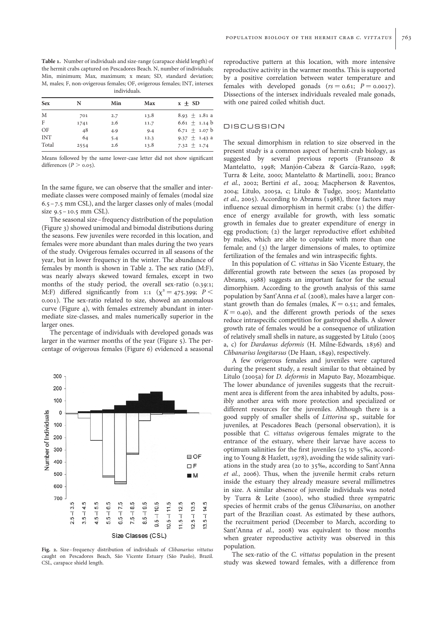Table 1. Number of individuals and size-range (carapace shield length) of the hermit crabs captured on Pescadores Beach. N, number of individuals; Min, minimum; Max, maximum; x mean; SD, standard deviation; M, males; F, non-ovigerous females; OF, ovigerous females; INT, intersex individuals.

| <b>Sex</b> | N    | Min | Max  | $x \pm SD$        |
|------------|------|-----|------|-------------------|
| M          | 701  | 2.7 | 13.8 | 8.93 $\pm$ 1.81 a |
| F          | 1741 | 2.6 | 11.7 | 6.61 $\pm$ 1.14 b |
| OF         | 48   | 4.9 | 9.4  | 6.71 $\pm$ 1.07 b |
| <b>INT</b> | 64   | 5.4 | 12.3 | 9.37 $\pm$ 1.43 a |
| Total      | 2554 | 2.6 | 13.8 | 7.32 $\pm$ 1.74   |
|            |      |     |      |                   |

Means followed by the same lower-case letter did not show significant differences  $(P > 0.05)$ .

In the same figure, we can observe that the smaller and intermediate classes were composed mainly of females (modal size 6.5–7.5 mm CSL), and the larger classes only of males (modal size 9.5–10.5 mm CSL).

The seasonal size–frequency distribution of the population (Figure 3) showed unimodal and bimodal distributions during the seasons. Few juveniles were recorded in this location, and females were more abundant than males during the two years of the study. Ovigerous females occurred in all seasons of the year, but in lower frequency in the winter. The abundance of females by month is shown in Table 2. The sex ratio (M:F), was nearly always skewed toward females, except in two months of the study period, the overall sex-ratio (0.39:1; M:F) differed significantly from 1:1 ( $\chi^2 = 475.399$ ; P < 0.001). The sex-ratio related to size, showed an anomalous curve (Figure 4), with females extremely abundant in intermediate size-classes, and males numerically superior in the larger ones.

The percentage of individuals with developed gonads was larger in the warmer months of the year (Figure 5). The percentage of ovigerous females (Figure 6) evidenced a seasonal



Fig. 2. Size-frequency distribution of individuals of Clibanarius vittatus caught on Pescadores Beach, São Vicente Estuary (São Paulo), Brazil. CSL, carapace shield length.

reproductive pattern at this location, with more intensive reproductive activity in the warmer months. This is supported by a positive correlation between water temperature and females with developed gonads  $(rs = 0.61; P = 0.0017)$ . Dissections of the intersex individuals revealed male gonads, with one paired coiled whitish duct.

## DISCUSSION

The sexual dimorphism in relation to size observed in the present study is a common aspect of hermit-crab biology, as suggested by several previous reports (Fransozo & Mantelatto, 1998; Manjón-Cabeza & García-Razo, 1998; Turra & Leite, 2000; Mantelatto & Martinelli, 2001; Branco et al., 2002; Bertini et al., 2004; Macpherson & Raventos, 2004; Litulo, 2005a, c; Litulo & Tudge, 2005; Mantelatto et al., 2005). According to Abrams (1988), three factors may influence sexual dimorphism in hermit crabs: (1) the difference of energy available for growth, with less somatic growth in females due to greater expenditure of energy in egg production; (2) the larger reproductive effort exhibited by males, which are able to copulate with more than one female; and (3) the larger dimensions of males, to optimize fertilization of the females and win intraspecific fights.

In this population of C. vittatus in São Vicente Estuary, the differential growth rate between the sexes (as proposed by Abrams, 1988) suggests an important factor for the sexual dimorphism. According to the growth analysis of this same population by Sant'Anna et al. (2008), males have a larger constant growth than do females (males,  $K = 0.51$ ; and females,  $K = 0.40$ , and the different growth periods of the sexes reduce intraspecific competition for gastropod shells. A slower growth rate of females would be a consequence of utilization of relatively small shells in nature, as suggested by Litulo (2005 a, c) for Dardanus deformis (H. Milne-Edwards, 1836) and Clibanarius longitarsus (De Haan, 1849), respectively.

A few ovigerous females and juveniles were captured during the present study, a result similar to that obtained by Litulo (2005a) for D. deformis in Maputo Bay, Mozambique. The lower abundance of juveniles suggests that the recruitment area is different from the area inhabited by adults, possibly another area with more protection and specialized or different resources for the juveniles. Although there is a good supply of smaller shells of Littorina sp., suitable for juveniles, at Pescadores Beach (personal observation), it is possible that C. vittatus ovigerous females migrate to the entrance of the estuary, where their larvae have access to optimum salinities for the first juveniles (25 to 35‰, according to Young & Hazlett, 1978), avoiding the wide salinity variations in the study area (20 to 35‰, according to Sant'Anna et al., 2006). Thus, when the juvenile hermit crabs return inside the estuary they already measure several millimetres in size. A similar absence of juvenile individuals was noted by Turra & Leite (2000), who studied three sympatric species of hermit crabs of the genus Clibanarius, on another part of the Brazilian coast. As estimated by these authors, the recruitment period (December to March, according to Sant'Anna et al., 2008) was equivalent to those months when greater reproductive activity was observed in this population.

The sex-ratio of the C. vittatus population in the present study was skewed toward females, with a difference from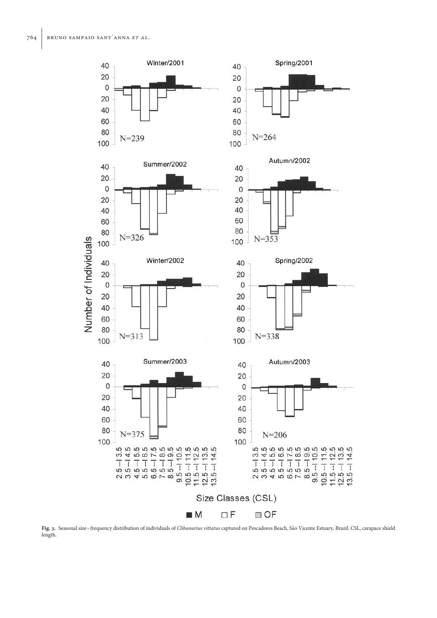

Fig. 3. Seasonal size-frequency distribution of individuals of Clibanarius vittatus captured on Pescadores Beach, São Vicente Estuary, Brazil. CSL, carapace shield length.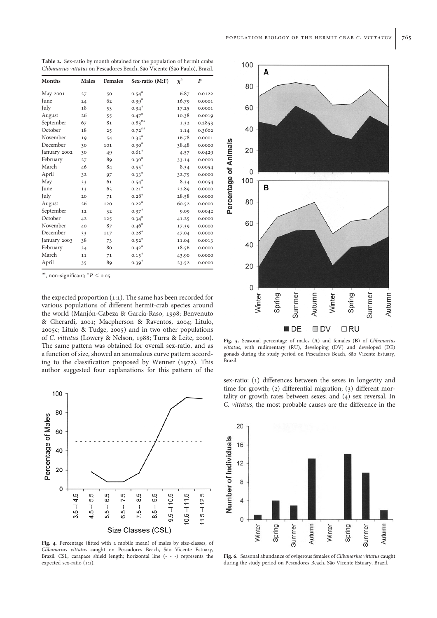Table 2. Sex-ratio by month obtained for the population of hermit crabs Clibanarius vittatus on Pescadores Beach, São Vicente (São Paulo), Brazil.

| <b>Months</b> | <b>Males</b> | <b>Females</b> | Sex-ratio (M:F)      | $\chi^2$ | P      |
|---------------|--------------|----------------|----------------------|----------|--------|
| May 2001      | 27           | 50             | $0.54*$              | 6.87     | 0.0122 |
| June          | 24           | 62             | $0.39*$              | 16.79    | 0.0001 |
| July          | 18           | 53             | $0.34*$              | 17.25    | 0.0001 |
| August        | 26           | 55             | $0.47*$              | 10.38    | 0.0019 |
| September     | 67           | 81             | $0.83$ <sup>ns</sup> | 1.32     | 0.2853 |
| October       | 18           | 25             | $0.72$ <sup>ns</sup> | 1.14     | 0.3602 |
| November      | 19           | 54             | $0.35*$              | 16.78    | 0.0001 |
| December      | 30           | 101            | $0.30*$              | 38.48    | 0.0000 |
| January 2002  | 30           | 49             | $0.61*$              | 4.57     | 0.0429 |
| February      | 27           | 89             | $0.30*$              | 33.14    | 0.0000 |
| March         | 46           | 84             | $0.55*$              | 8.34     | 0.0054 |
| April         | 32           | 97             | $0.33*$              | 32.75    | 0.0000 |
| May           | 33           | 61             | $0.54*$              | 8.34     | 0.0054 |
| June          | 13           | 63             | $0.21*$              | 32.89    | 0.0000 |
| July          | 20           | 71             | $0.28*$              | 28.58    | 0.0000 |
| August        | 26           | 120            | $0.22*$              | 60.52    | 0.0000 |
| September     | 12           | 32             | $0.37*$              | 9.09     | 0.0042 |
| October       | 42           | 125            | $0.34*$              | 41.25    | 0.0000 |
| November      | 40           | 87             | $0.46*$              | 17.39    | 0.0000 |
| December      | 33           | 117            | $0.28*$              | 47.04    | 0.0000 |
| January 2003  | 38           | 73             | $0.52*$              | 11.04    | 0.0013 |
| February      | 34           | 80             | $0.42*$              | 18.56    | 0.0000 |
| March         | 11           | 71             | $0.15*$              | 43.90    | 0.0000 |
| April         | 35           | 89             | $0.39*$              | 23.52    | 0.0000 |

<sup>ns</sup>, non-significant;  $^*P <$  0.05.

the expected proportion (1:1). The same has been recorded for various populations of different hermit-crab species around the world (Manjón-Cabeza & García-Raso, 1998; Benvenuto & Gherardi, 2001; Macpherson & Raventos, 2004; Litulo, 2005c; Litulo & Tudge, 2005) and in two other populations of C. vittatus (Lowery & Nelson, 1988; Turra & Leite, 2000). The same pattern was obtained for overall sex-ratio, and as a function of size, showed an anomalous curve pattern according to the classification proposed by Wenner (1972). This author suggested four explanations for this pattern of the



Fig. 4. Percentage (fitted with a mobile mean) of males by size-classes, of Clibanarius vittatus caught on Pescadores Beach, São Vicente Estuary, Brazil. CSL, carapace shield length; horizontal line (---) represents the expected sex-ratio (1:1).



Fig. 5. Seasonal percentage of males (A) and females (B) of Clibanarius vittatus, with rudimentary (RU), developing (DV) and developed (DE) gonads during the study period on Pescadores Beach, São Vicente Estuary, Brazil.

sex-ratio: (1) differences between the sexes in longevity and time for growth; (2) differential migration; (3) different mortality or growth rates between sexes; and (4) sex reversal. In C. vittatus, the most probable causes are the difference in the



Fig. 6. Seasonal abundance of ovigerous females of Clibanarius vittatus caught during the study period on Pescadores Beach, São Vicente Estuary, Brazil.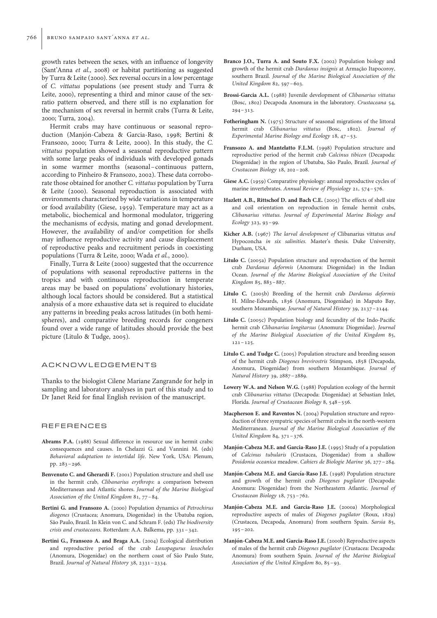growth rates between the sexes, with an influence of longevity (Sant'Anna et al., 2008) or habitat partitioning as suggested by Turra & Leite (2000). Sex reversal occurs in a low percentage of C. vittatus populations (see present study and Turra & Leite, 2000), representing a third and minor cause of the sexratio pattern observed, and there still is no explanation for the mechanism of sex reversal in hermit crabs (Turra & Leite, 2000; Turra, 2004).

Hermit crabs may have continuous or seasonal reproduction (Manjón-Cabeza & Garcia-Raso, 1998; Bertini & Fransozo, 2000; Turra & Leite, 2000). In this study, the C. vittatus population showed a seasonal reproductive pattern with some large peaks of individuals with developed gonads in some warmer months (seasonal –continuous pattern, according to Pinheiro & Fransozo, 2002). These data corroborate those obtained for another C. vittatus population by Turra & Leite (2000). Seasonal reproduction is associated with environments characterized by wide variations in temperature or food availability (Giese, 1959). Temperature may act as a metabolic, biochemical and hormonal modulator, triggering the mechanisms of ecdysis, mating and gonad development. However, the availability of and/or competition for shells may influence reproductive activity and cause displacement of reproductive peaks and recruitment periods in coexisting populations (Turra & Leite, 2000; Wada et al., 2000).

Finally, Turra & Leite (2000) suggested that the occurrence of populations with seasonal reproductive patterns in the tropics and with continuous reproduction in temperate areas may be based on populations' evolutionary histories, although local factors should be considered. But a statistical analysis of a more exhaustive data set is required to elucidate any patterns in breeding peaks across latitudes (in both hemispheres), and comparative breeding records for congeners found over a wide range of latitudes should provide the best picture (Litulo & Tudge, 2005).

## ACKNOWLEDGEMENTS

Thanks to the biologist Cilene Mariane Zangrande for help in sampling and laboratory analyses in part of this study and to Dr Janet Reid for final English revision of the manuscript.

#### REFERENCES

- Abrams P.A. (1988) Sexual difference in resource use in hermit crabs: consequences and causes. In Chelazzi G. and Vannini M. (eds) Behavioral adaptation to intertidal life. New York, USA: Plenum, pp. 283–296.
- Benvenuto C. and Gherardi F. (2001) Population structure and shell use in the hermit crab, Clibanarius erythrops: a comparison between Mediterranean and Atlantic shores. Journal of the Marine Biological Association of the United Kingdom 81, 77–84.
- Bertini G. and Fransozo A. (2000) Population dynamics of Petrochirus diogenes (Crustacea; Anomura, Diogenidae) in the Ubatuba region, São Paulo, Brazil. In Klein von C. and Schram F. (eds) The biodiversity crisis and crustaceans. Rotterdam: A.A. Balkema, pp. 331–342.
- Bertini G., Fransozo A. and Braga A.A. (2004) Ecological distribution and reproductive period of the crab Loxopagurus loxocheles (Anomura, Diogenidae) on the northern coast of São Paulo State, Brazil. Journal of Natural History 38, 2331–2334.
- Branco J.O., Turra A. and Souto F.X. (2002) Population biology and growth of the hermit crab Dardanus insignis at Armacão Itapocoroy, southern Brazil. Journal of the Marine Biological Association of the United Kingdom 82, 597–603.
- Brossi-Garcia A.L. (1988) Juvenile development of Clibanarius vittatus (Bosc, 1802) Decapoda Anomura in the laboratory. Crustaceana 54,  $294 - 313$ .
- Fotheringham N. (1975) Structure of seasonal migrations of the littoral hermit crab Clibanarius vittatus (Bosc, 1802). Journal of Experimental Marine Biology and Ecology 18, 47–53.
- Fransozo A. and Mantelatto F.L.M. (1998) Population structure and reproductive period of the hermit crab Calcinus tibicen (Decapoda: Diogenidae) in the region of Ubatuba, São Paulo, Brazil. Journal of Crustacean Biology 18, 202–208.
- Giese A.C. (1959) Comparative physiology: annual reproductive cycles of marine invertebrates. Annual Review of Physiology 21, 574–576.
- Hazlett A.B., Rittschof D. and Bach C.E. (2005) The effects of shell size and coil orientation on reproduction in female hermit crabs, Clibanarius vittatus. Journal of Experimental Marine Biology and Ecology 323, 93–99.
- Kicher A.B. (1967) The larval development of Clibanarius vittatus and Hypoconcha in six salinities. Master's thesis. Duke University, Durham, USA.
- Litulo C. (2005a) Population structure and reproduction of the hermit crab Dardanus deformis (Anomura: Diogenidae) in the Indian Ocean. Journal of the Marine Biological Association of the United Kingdom 85, 883–887.
- Litulo C. (2005b) Breeding of the hermit crab Dardanus deformis H. Milne-Edwards, 1836 (Anomura, Diogenidae) in Maputo Bay, southern Mozambique. Journal of Natural History 39, 2137–2144.
- Litulo C. (2005c) Population biology and fecundity of the Indo-Pacific hermit crab Clibanarius longitarsus (Anomura: Diogenidae). Journal of the Marine Biological Association of the United Kingdom 85,  $121 - 125$
- Litulo C. and Tudge C. (2005) Population structure and breeding season of the hermit crab Diogenes brevirostris Stimpson, 1858 (Decapoda, Anomura, Diogenidae) from southern Mozambique. Journal of Natural History 39, 2887–2889.
- Lowery W.A. and Nelson W.G. (1988) Population ecology of the hermit crab Clibanarius vittatus (Decapoda: Diogenidae) at Sebastian Inlet, Florida. Journal of Crustacean Biology 8, 548–556.
- Macpherson E. and Raventos N. (2004) Population structure and reproduction of three sympatric species of hermit crabs in the north-western Mediterranean. Journal of the Marine Biological Association of the United Kingdom 84, 371–376.
- Manión-Cabeza M.E. and Garcia-Raso J.E. (1995) Study of a population of Calcinus tubularis (Crustacea, Diogenidae) from a shallow Posidonia oceanica meadow. Cahiers de Biologie Marine 36, 277–284.
- Manjón-Cabeza M.E. and García-Raso J.E. (1998) Population structure and growth of the hermit crab Diogenes pugilator (Decapoda: Anomura: Diogenidae) from the Northeastern Atlantic. Journal of Crustacean Biology 18, 753–762.
- Manjón-Cabeza M.E. and Garcia-Raso J.E. (2000a) Morphological reproductive aspects of males of Diogenes pugilator (Roux, 1829) (Crustacea, Decapoda, Anomura) from southern Spain. Sarsia 85,  $195 - 202.$
- Manjón-Cabeza M.E. and Garcia-Raso J.E. (2000b) Reproductive aspects of males of the hermit crab Diogenes pugilator (Crustacea: Decapoda: Anomura) from southern Spain. Journal of the Marine Biological Association of the United Kingdom 80, 85–93.